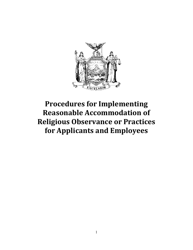**Procedures for Implementing Reasonable Accommodation of Religious Observance or Practices for Applicants and Employees**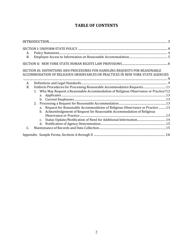# **TABLE OF CONTENTS**

| А.<br><b>B.</b> |                                                                                                                                                                |
|-----------------|----------------------------------------------------------------------------------------------------------------------------------------------------------------|
|                 |                                                                                                                                                                |
|                 | SECTION III: DEFINITIONS AND PROCEDURES FOR HANDLING REQUESTS FOR REASONABLE<br>ACCOMMODATION OF RELIGIOUS OBSERVANCES OR PRACTICES IN NEW YORK STATE AGENCIES |
| A.              |                                                                                                                                                                |
| <b>B.</b>       | Uniform Procedures for Processing Reasonable Accommodation Requests 11                                                                                         |
|                 | 1. Who May Request a Reasonable Accommodation of Religious Observance or Practice?12                                                                           |
|                 | 2.                                                                                                                                                             |
|                 | Request for Reasonable Accommodation of Religious Observance or Practice  13<br>a.<br>b. Acknowledgement of Request for Reasonable Accommodation of Religious  |
|                 |                                                                                                                                                                |
|                 | C <sub>1</sub>                                                                                                                                                 |
|                 |                                                                                                                                                                |
| C.              |                                                                                                                                                                |
|                 |                                                                                                                                                                |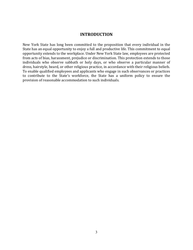### **INTRODUCTION**

<span id="page-2-0"></span>New York State has long been committed to the proposition that every individual in the State has an equal opportunity to enjoy a full and productive life. This commitment to equal opportunity extends to the workplace. Under New York State law, employees are protected from acts of bias, harassment, prejudice or discrimination. This protection extends to those individuals who observe sabbath or holy days, or who observe a particular manner of dress, hairstyle, beard, or other religious practice, in accordance with their religious beliefs. To enable qualified employees and applicants who engage in such observances or practices to contribute to the State's workforce, the State has a uniform policy to ensure the provision of reasonable accommodation to such individuals.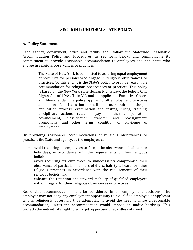## **SECTION I: UNIFORM STATE POLICY**

## <span id="page-3-1"></span><span id="page-3-0"></span>**A. Policy Statement**

Each agency, department, office and facility shall follow the Statewide Reasonable Accommodation Policy and Procedures, as set forth below, and communicate its commitment to provide reasonable accommodation to employees and applicants who engage in religious observances or practices.

> The State of New York is committed to assuring equal employment opportunity for persons who engage in religious observances or practices. To this end, it is the State's policy to provide reasonable accommodation for religious observances or practices. This policy is based on the New York State Human Rights Law, the federal Civil Rights Act of 1964, Title VII, and all applicable Executive Orders and Memoranda. The policy applies to all employment practices and actions. It includes, but is not limited to, recruitment, the job application process, examination and testing, hiring, training, disciplinary actions, rates of pay or other compensation, advancement, classification, transfer and reassignment, promotions, and other terms, condition or privileges of employment.

By providing reasonable accommodations of religious observances or practices, the State and agency, as the employer, can:

- avoid requiring its employees to forego the observance of sabbath or holy days, in accordance with the requirements of their religious beliefs;
- avoid requiring its employees to unnecessarily compromise their observance of particular manners of dress, hairstyle, beard, or other religious practices, in accordance with the requirements of their religious beliefs; and
- enhance the retention and upward mobility of qualified employees without regard for their religious observances or practices.

Reasonable accommodation must be considered in all employment decisions. The employer may not deny any employment opportunity to a qualified employee or applicant who is religiously observant, thus attempting to avoid the need to make a reasonable accommodation, unless the accommodation would impose an undue hardship. This protects the individual's right to equal job opportunity regardless of creed.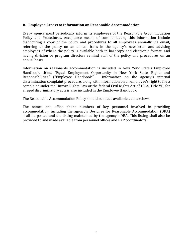### <span id="page-4-0"></span>**B. Employee Access to Information on Reasonable Accommodation**

Every agency must periodically inform its employees of the Reasonable Accommodation Policy and Procedures. Acceptable means of communicating this information include distributing a copy of the policy and procedures to all employees annually via email; referring to the policy on an annual basis in the agency's newsletter and advising employees of where the policy is available both in hardcopy and electronic format; and having division or program directors remind staff of the policy and procedures on an annual basis.

Information on reasonable accommodation is included in New York State's Employee Handbook, titled, "Equal Employment Opportunity in New York State, Rights and Responsibilities" ("Employee Handbook"). Information on the agency's internal discrimination complaint procedure, along with information on an employee's right to file a complaint under the Human Rights Law or the federal Civil Rights Act of 1964, Title VII, for alleged discriminatory acts is also included in the Employee Handbook.

The Reasonable Accommodation Policy should be made available at interviews.

The names and office phone numbers of key personnel involved in providing accommodation, including the agency's Designee for Reasonable Accommodation (DRA) shall be posted and the listing maintained by the agency's DRA. This listing shall also be provided to and made available from personnel offices and EAP coordinators.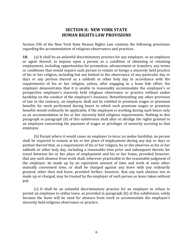## **SECTION II: NEW YORK STATE HUMAN RIGHTS LAW PROVISIONS**

<span id="page-5-1"></span><span id="page-5-0"></span>Section 296 of the New York State Human Rights Law contains the following provisions regarding the accommodation of religious observances and practices.

**10.** (a) It shall be an unlawful discriminatory practice for any employer, or an employee or agent thereof, to impose upon a person as a condition of obtaining or retaining employment, including opportunities for promotion, advancement or transfers, any terms or conditions that would require such person to violate or forego a sincerely held practice of his or her religion, including but not limited to the observance of any particular day or days or any portion thereof as a sabbath or other holy day in accordance with the requirements of his or her religion, unless, after engaging in a bona fide effort, the employer demonstrates that it is unable to reasonably accommodate the employee's or prospective employee's sincerely held religious observance or practice without undue hardship on the conduct of the employer's business. Notwithstanding any other provision of law to the contrary, an employee shall not be entitled to premium wages or premium benefits for work performed during hours to which such premium wages or premium benefits would ordinarily be applicable, if the employee is working during such hours only as an accommodation to his or her sincerely held religious requirements. Nothing in this paragraph or paragraph (b) of this subdivision shall alter or abridge the rights granted to an employee concerning the payment of wages or privileges of seniority accruing to that employee.

(b) Except where it would cause an employer to incur an undue hardship, no person shall be required to remain at his or her place of employment during any day or days or portion thereof that, as a requirement of his or her religion, he or she observes as his or her sabbath or other holy day, including a reasonable time prior and subsequent thereto for travel between his or her place of employment and his or her home, provided however, that any such absence from work shall, wherever practicable in the reasonable judgment of the employer, be made up by an equivalent amount of time and work at some other mutually convenient time, or shall be charged against any leave with pay ordinarily granted, other than sick leave, provided further, however, that any such absence not so made up or charged, may be treated by the employer of such person as leave taken without pay.

(c) It shall be an unlawful discriminatory practice for an employer to refuse to permit an employee to utilize leave, as provided in paragraph (b) of this subdivision, solely because the leave will be used for absence from work to accommodate the employee's sincerely held religious observance or practice.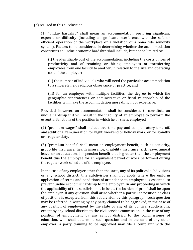(d) As used in this subdivision:

(1) "undue hardship" shall mean an accommodation requiring significant expense or difficulty (including a significant interference with the safe or efficient operation of the workplace or a violation of a bona fide seniority system). Factors to be considered in determining whether the accommodation constitutes an undue economic hardship shall include, but not be limited to:

(i) the identifiable cost of the accommodation, including the costs of loss of productivity and of retaining or hiring employees or transferring employees from one facility to another, in relation to the size and operating cost of the employer;

(ii) the number of individuals who will need the particular accommodation to a sincerely held religious observance or practice; and

(iii) for an employer with multiple facilities, the degree to which the geographic separateness or administrative or fiscal relationship of the facilities will make the accommodation more difficult or expensive.

Provided, however, an accommodation shall be considered to constitute an undue hardship if it will result in the inability of an employee to perform the essential functions of the position in which he or she is employed.

(2) "premium wages" shall include overtime pay and compensatory time off, and additional remuneration for night, weekend or holiday work, or for standby or irregular duty.

(3) "premium benefit" shall mean an employment benefit, such as seniority, group life insurance, health insurance, disability insurance, sick leave, annual leave, or an educational or pension benefit that is greater than the employment benefit due the employee for an equivalent period of work performed during the regular work schedule of the employee.

In the case of any employer other than the state, any of its political subdivisions or any school district, this subdivision shall not apply where the uniform application of terms and conditions of attendance to employees is essential to prevent undue economic hardship to the employer. In any proceeding in which the applicability of this subdivision is in issue, the burden of proof shall be upon the employer. If any question shall arise whether a particular position or class of positions is excepted from this subdivision by this paragraph, such question may be referred in writing by any party claimed to be aggrieved, in the case of any position of employment by the state or any of its political subdivisions, except by any school district, to the civil service commission, in the case of any position of employment by any school district, to the commissioner of education, who shall determine such question and in the case of any other employer, a party claiming to be aggrieved may file a complaint with the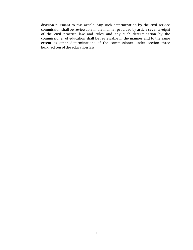division pursuant to this article. Any such determination by the civil service commission shall be reviewable in the manner provided by article seventy-eight of the civil practice law and rules and any such determination by the commissioner of education shall be reviewable in the manner and to the same extent as other determinations of the commissioner under section three hundred ten of the education law.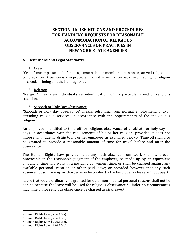# <span id="page-8-1"></span><span id="page-8-0"></span>**SECTION III: DEFINITIONS AND PROCEDURES FOR HANDLING REQUESTS FOR REASONABLE ACCOMMODATION OF RELIGIOUS OBSERVANCES OR PRACTICES IN NEW YORK STATE AGENCIES**

#### <span id="page-8-2"></span>**A. Definitions and Legal Standards**

### 1. Creed

"Creed" encompasses belief in a supreme being or membership in an organized religion or congregation. A person is also protected from discrimination because of having no religion or creed, or being an atheist or agnostic.

#### 2. Religion

"Religion" means an individual's self-identification with a particular creed or religious tradition.

### 3. Sabbath or Holy Day Observance

"Sabbath or holy day observance" means refraining from normal employment, and/or attending religious services, in accordance with the requirements of the individual's religion.

An employee is entitled to time off for religious observance of a sabbath or holy day or days, in accordance with the requirements of his or her religion, provided it does not impose an undue hardship to his or her employer, as explained below.1 Time off shall also be granted to provide a reasonable amount of time for travel before and after the observance.

The Human Rights Law provides that any such absence from work shall, wherever practicable in the reasonable judgment of the employer, be made up by an equivalent amount of time and work at a mutually convenient time, or shall be charged against any available personal, vacation or other paid leave; or provided however that any such absence not so made up or charged may be treated by the Employer as leave without pay.<sup>2</sup>

Leave that would ordinarily be granted for other non-medical personal reasons shall not be denied because the leave will be used for religious observance.3 Under no circumstances may time off for religious observance be charged as sick leave.<sup>4</sup>

 $\overline{a}$ 

<sup>&</sup>lt;sup>1</sup> Human Rights Law § 296.10(a).

<sup>2</sup> Human Rights Law § 296.10(b).

<sup>&</sup>lt;sup>3</sup> Human Rights Law  $\S$  296.10(c).

<sup>4</sup> Human Rights Law § 296.10(b).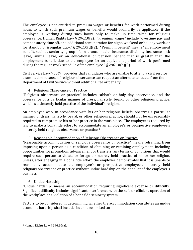The employee is not entitled to premium wages or benefits for work performed during hours to which such premium wages or benefits would ordinarily be applicable, if the employee is working during such hours only to make up time taken for religious observance. Human Rights Law § 296.10(a). "Premium wages" include "overtime pay and compensatory time off, and additional remuneration for night, weekend or holiday work, or for standby or irregular duty." § 296.10(d)(2). "Premium benefit" means "an employment benefit, such as seniority, group life insurance, health insurance, disability insurance, sick leave, annual leave, or an educational or pension benefit that is greater than the employment benefit due to the employee for an equivalent period of work performed during the regular work schedule of the employee." § 296.10(d)(3).

Civil Service Law § 50(9) provides that candidates who are unable to attend a civil service examination because of religious observance can request an alternate test date from the Department of Civil Service without additional fee or penalty.

## 4. Religious Observance or Practice

"Religious observance or practice" includes sabbath or holy day observance, and the observance of a particular manner of dress, hairstyle, beard, or other religious practice, which is a sincerely held practice of the individual's religion.

An employee who, in accordance with his or her religious beliefs, observes a particular manner of dress, hairstyle, beard, or other religious practice, should not be unreasonably required to compromise his or her practice in the workplace. The employer is required by law to make a bona fide effort to accommodate an employee's or prospective employee's sincerely held religious observance or practice.<sup>5</sup>

## 5. Reasonable Accommodation of Religious Observance or Practice

"Reasonable accommodation of religious observance or practice" means refraining from imposing upon a person as a condition of obtaining or retaining employment, including opportunities for promotion, advancement or transfers, any terms or conditions that would require such person to violate or forego a sincerely held practice of his or her religion, unless, after engaging in a bona fide effort, the employer demonstrates that it is unable to reasonably accommodate the employee's or prospective employee's sincerely held religious observance or practice without undue hardship on the conduct of the employer's business.

## 6. Undue Hardship

"Undue hardship" means an accommodation requiring significant expense or difficulty. Significant difficulty includes significant interference with the safe or efficient operation of the workplace or a violation of a bona fide seniority system.

Factors to be considered in determining whether the accommodation constitutes an undue economic hardship shall include, but not be limited to:

 $\overline{a}$  $5$  Human Rights Law § 296.10(a).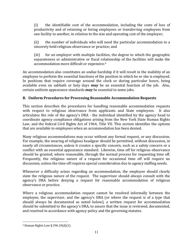(i) the identifiable cost of the accommodation, including the costs of loss of productivity and of retaining or hiring employees or transferring employees from one facility to another, in relation to the size and operating cost of the employer;

(ii) the number of individuals who will need the particular accommodation to a sincerely held religious observance or practice; and

(iii) for an employer with multiple facilities, the degree to which the geographic separateness or administrative or fiscal relationship of the facilities will make the accommodation more difficult or expensive.<sup>6</sup>

An accommodation also constitutes an undue hardship if it will result in the inability of an employee to perform the essential functions of the position in which he or she is employed. In positions that require coverage around the clock or during particular hours, being available even on sabbath or holy days *may* be an essential function of the job. Also, certain uniform appearance standards *may* be essential to some jobs.

## <span id="page-10-0"></span>**B. Uniform Procedures for Processing Reasonable Accommodation Requests**

This section describes the procedures for handling reasonable accommodation requests with respect to religious observance from applicants and State employees. It also articulates the role of the agency's DRA - the individual identified by the agency head to coordinate agency compliance obligations arising from the New York State Human Rights Law, and the federal Civil Rights Act of 1964, Title VII. This section identifies the options that are available to employees when an accommodation has been denied.

Many religious accommodations may occur without any formal request, or any discussion. For example, the wearing of religious headgear should be permitted, without discussion, in nearly all circumstances, unless it creates a specific concern, such as a safety concern or a conflict with an essential appearance standard. Likewise, time off for religious observance should be granted, where reasonable, through the normal process for requesting time off. Frequently, the religious nature of a request for occasional time off will require no discussion, unless the time off requires special consideration due to agency staffing needs.

Whenever a difficulty arises regarding an accommodation, the employee should clearly state the religious nature of the request. The supervisor should always consult with the agency's DRA before denying a request for reasonable accommodation of religious observance or practice.

Where a religious accommodation request cannot be resolved informally between the employee, the supervisor, and the agency's DRA (or where the request is of a type that should always be documented as noted below), a written request for accommodation should be submitted to the agency's DRA, to assure that the issue is reviewed, documented, and resolved in accordance with agency policy and the governing statutes.

 $\overline{a}$  $6$  Human Rights Law § 296.10(d)(1).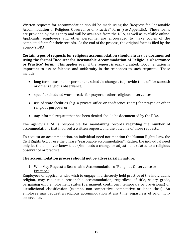Written requests for accommodation should be made using the "Request for Reasonable Accommodation of Religious Observance or Practice" form (*see* Appendix). These forms are provided by the agency and will be available from the DRA, as well as available online. Applicants, employees and other personnel are encouraged to make copies of the completed form for their records. At the end of the process, the original form is filed by the agency's DRA.

**Certain types of requests for religious accommodation should always be documented using the formal "Request for Reasonable Accommodation of Religious Observance or Practice" form.** This applies even if the request is easily granted. Documentation is important to assure fairness and uniformity in the responses to such requests. These include:

- long term, seasonal or permanent schedule changes, to provide time off for sabbath or other religious observance;
- specific scheduled work breaks for prayer or other religious observances;
- use of state facilities (e.g. a private office or conference room) for prayer or other religious purpose; or
- *any* informal request that has been denied should be documented by the DRA.

The agency's DRA is responsible for maintaining records regarding the number of accommodations that involved a written request, and the outcome of those requests.

To request an accommodation, an individual need not mention the Human Rights Law, the Civil Rights Act, or use the phrase "reasonable accommodation". Rather, the individual need only let the employer know that s/he needs a change or adjustment related to a religious observance or practice.

## **The accommodation process should not be adversarial in nature.**

## <span id="page-11-0"></span>1. Who May Request a Reasonable Accommodation of Religious Observance or Practice?

<span id="page-11-1"></span>Employees or applicants who wish to engage in a sincerely held practice of the individual's religion, may request a reasonable accommodation, regardless of title, salary grade, bargaining unit, employment status (permanent, contingent, temporary or provisional) or jurisdictional classification (exempt, non-competitive, competitive or labor class). An employee may request a religious accommodation at any time, regardless of prior nonobservance.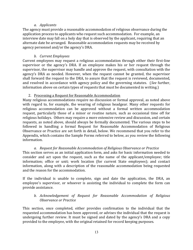### *a. Applicants*

The agency must provide a reasonable accommodation of religious observance during the application process to applicants who request such accommodation. For example, an interview date may fall on a holy day that is observed by the applicant, requiring that an alternate date be arranged. Reasonable accommodation requests may be received by agency personnel and/or the agency's DRA.

### *b. Current Employees*

<span id="page-12-0"></span>Current employees may request a religious accommodation through either their first-line supervisor or the agency's DRA. If an employee makes his or her request through the supervisor, the supervisor may handle and approve the request, with consultation with the agency's DRA as needed. However, when the request cannot be granted, the supervisor shall forward the request to the DRA, to assure that the request is reviewed, documented, and resolved in accordance with agency policy and the governing statutes. (*See* further, information above on certain types of requests that must be documented in writing.)

### 2. Processing a Request for Reasonable Accommodation

<span id="page-12-1"></span>Many religious accommodations require no discussion or formal approval, as noted above with regard to, for example, the wearing of religious headgear. Many other requests for religious accommodation can be approved without a formal written accommodation request, particularly those of a minor or routine nature, such as occasional time off for religious holidays. Others may require a more extensive review and discussion, and certain requests, as noted above, should always be formally documented. The various steps to be followed in handling a formal Request for Reasonable Accommodation of Religious Observance or Practice are set forth in detail, below. We recommend that you refer to the Appendix, which contains the Sample Forms referred to below, as you review the following information.

### *a. Request for Reasonable Accommodation of Religious Observance or Practice*

<span id="page-12-2"></span>This section serves as an initial application form, and asks for basic information needed to consider and act upon the request, such as the name of the applicant/employee; title information; office or unit; work location (for current State employees); and contact information, along with a description of the reasonable accommodation being requested and the reason for the accommodation.

If the individual is unable to complete, sign and date the application, the DRA, an employee's supervisor, or whoever is assisting the individual to complete the form can provide assistance.

### <span id="page-12-3"></span>*b. Acknowledgement of Request for Reasonable Accommodation of Religious Observance or Practice*

This section, once completed, either provides confirmation to the individual that the requested accommodation has been approved, or advises the individual that the request is undergoing further review. It must be signed and dated by the agency's DRA and a copy provided to the employee, with the original retained for record keeping purposes.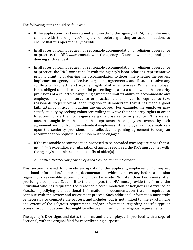The following steps should be followed:

- If the application has been submitted directly to the agency's DRA, he or she must consult with the employee's supervisor before granting an accommodation, to ensure that it is operationally feasible.
- In all cases of formal request for reasonable accommodation of religious observance or practice, the DRA *must* consult with the agency's Counsel, whether granting or denying such request.
- In all cases of formal request for reasonable accommodation of religious observance or practice, the DRA *must* consult with the agency's labor relations representative prior to granting or denying the accommodation to determine whether the request implicates an agency's collective bargaining agreements, and if so, to resolve any conflicts with collectively bargained rights of other employees. While the employer is not obliged to initiate adversarial proceedings against a union when the seniority provisions of a collective bargaining agreement limit its ability to accommodate any employee's religious observance or practice, the employer is required to take reasonable steps short of labor litigation to demonstrate that it has made a good faith attempt at accommodating the employee. For example, the employer may satisfy its duty by seeking volunteers willing to waive their seniority rights in order to accommodate their colleague's religious observance or practice. This waiver must be sought from the union that represents the employees covered by such agreement and not from the individual employees. An employer cannot simply rely upon the seniority provisions of a collective bargaining agreement to deny an accommodation request. The union must be engaged.
- If the reasonable accommodation proposed to be provided may require more than a *de minimis* expenditure or utilization of agency resources, the DRA must confer with the agency's administration and/or fiscal office(s)

## <span id="page-13-0"></span>*c. Status Update/Notification of Need for Additional Information*

This section is used to provide an update to the applicant/employee or to request additional information/supporting documentation, which is necessary before a decision regarding a reasonable accommodation can be made. No later than two weeks after providing a completed Section B to the employee, the DRA must provide this form to the individual who has requested the reasonable accommodation of Religious Observance or Practice, specifying the additional information or documentation that is required to continue with the review and assessment process. Such additional information must truly be necessary to complete the process, and includes, but is not limited to, the exact nature and extent of the religious requirement, and/or information regarding specific type or types of accommodations that might be effective in meeting the religious requirements.

<span id="page-13-1"></span>The agency's DRA signs and dates the form, and the employee is provided with a copy of Section C, with the original filed for recordkeeping purposes.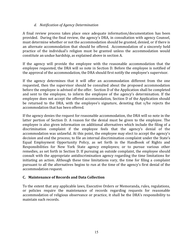## *d. Notification of Agency Determination*

A final review process takes place once adequate information/documentation has been provided. During the final review, the agency's DRA, in consultation with agency Counsel, must determine whether or not the accommodation should be granted, denied, or if there is an alternate accommodation that should be offered. Accommodation of a sincerely held practice of the individual's religion must be granted unless the accommodation would constitute an undue hardship, as explained above in section A.

If the agency will provide the employee with the reasonable accommodation that the employee requested, the DRA will so note in Section D. Before the employee is notified of the approval of the accommodation, the DRA should first notify the employee's supervisor.

If the agency determines that it will offer an accommodation different from the one requested, then the supervisor should be consulted about the proposed accommodation before the employee is advised of the offer. Section D of the Application shall be completed and sent to the employee, to inform the employee of the agency's determination. If the employee does not accept the offered accommodation, Section D of the Application should be returned to the DRA, with the employee's signature, denoting that s/he rejects the accommodation that has been offered.

If the agency denies the request for reasonable accommodation, the DRA will so note in the latter portion of Section D. A reason for the denial must be given to the employee. The employee is also given information on additional alternatives which include the filing of a discrimination complaint if the employee feels that the agency's denial of the accommodation was unlawful. At this point, the employee may elect to accept the agency's decision and end the process; to file an internal discrimination complaint under the State's Equal Employment Opportunity Policy, as set forth in the Handbook of Rights and Responsibilities for New York State agency employees; or to pursue various other remedies, as set forth in Section D. If pursuing an outside complaint, the employee should consult with the appropriate antidiscrimination agency regarding the time limitations for initiating an action. Although these time limitations vary, the time for filing a complaint pursuant to all the alternatives begins to run at the time of the agency's first denial of the accommodation request.

## <span id="page-14-0"></span>**C. Maintenance of Records and Data Collection**

To the extent that any applicable laws, Executive Orders or Memoranda, rules, regulations, or policies require the maintenance of records regarding requests for reasonable accommodation of religious observance or practice, it shall be the DRA's responsibility to maintain such records.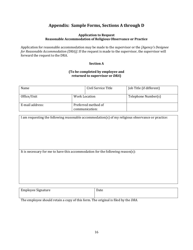# **Appendix: Sample Forms, Sections A through D**

#### **Application to Request Reasonable Accommodation of Religious Observance or Practice**

<span id="page-15-0"></span>Application for reasonable accommodation may be made to the supervisor or the *[Agency's Designee for Reasonable Accommodation (DRA)]*. If the request is made to the supervisor, the supervisor will forward the request to the DRA.

#### **Section A**

#### **(To be completed by employee and returned to supervisor or** *DRA***)**

| Name            |  | Civil Service Title                   | Job Title (if different) |
|-----------------|--|---------------------------------------|--------------------------|
| Office/Unit     |  | Work Location                         | Telephone Number(s)      |
| E-mail address: |  | Preferred method of<br>communication: |                          |

| I am requesting the following reasonable accommodation(s) of my religious observance or practice: |  |  |
|---------------------------------------------------------------------------------------------------|--|--|
|                                                                                                   |  |  |
|                                                                                                   |  |  |
|                                                                                                   |  |  |
|                                                                                                   |  |  |
|                                                                                                   |  |  |
| It is necessary for me to have this accommodation for the following reason(s):                    |  |  |
|                                                                                                   |  |  |
|                                                                                                   |  |  |
|                                                                                                   |  |  |
|                                                                                                   |  |  |
|                                                                                                   |  |  |
|                                                                                                   |  |  |
|                                                                                                   |  |  |

| Employee Signature | Date |
|--------------------|------|
|                    |      |

The employee should retain a copy of this form. The original is filed by the *DRA*.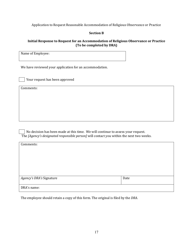Application to Request Reasonable Accommodation of Religious Observance or Practice

### **Section B**

#### **Initial Response to Request for an Accommodation of Religious Observance or Practice (To be completed by DRA)**

Name of Employee:

We have reviewed your application for an accommodation.

Your request has been approved

Comments:

 No decision has been made at this time. We will continue to assess your request. The *[Agency's designated responsible person]* will contact you within the next two weeks.

| Comments:                |      |
|--------------------------|------|
|                          |      |
|                          |      |
|                          |      |
|                          |      |
| Agency's DRA's Signature | Date |
|                          |      |
| DRA's name:              |      |

The employee should retain a copy of this form. The original is filed by the *DRA*.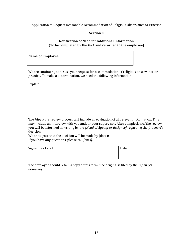Application to Request Reasonable Accommodation of Religious Observance or Practice

#### **Section C**

#### **Notification of Need for Additional Information (To be completed by the** *DRA* **and returned to the employee)**

Name of Employee:

We are continuing to assess your request for accommodation of religious observance or practice. To make a determination, we need the following information:

Explain:

The *[Agency]*'s review process will include an evaluation of all relevant information. This may include an interview with you and/or your supervisor. After completion of the review, you will be informed in writing by the *[Head of Agency or designee]* regarding the *[Agency]*'s decision.

We anticipate that the decision will be made by (date):  $\blacksquare$ If you have any questions, please call *[DRA]*.

| Signature of DRA | Date |
|------------------|------|
|                  |      |
|                  |      |

The employee should retain a copy of this form. The original is filed by the *[Agency's designee]*.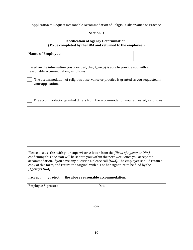Application to Request Reasonable Accommodation of Religious Observance or Practice

### **Section D**

#### **Notification of Agency Determination: (To be completed by the DRA and returned to the employee.)**

#### **Name of Employee**:

Based on the information you provided, the *[Agency]* is able to provide you with a reasonable accommodation, as follows:

 The accommodation of religious observance or practice is granted as you requested in your application.

The accommodation granted differs from the accommodation you requested, as follows:

Please discuss this with your supervisor. A letter from the *[Head of Agency or DRA]* confirming this decision will be sent to you within the next week once you accept the accommodation. If you have any questions, please call *[DRA]*. The employee should retain a copy of this form, and return the original with his or her signature to be filed by the *[Agency's DRA]*.

| I accept ___/ reject _ the above reasonable accommodation. |      |  |
|------------------------------------------------------------|------|--|
| Employee Signature                                         | Date |  |

**-or-**